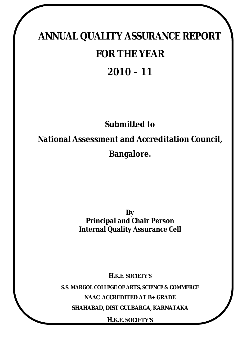# **ANNUAL QUALITY ASSURANCE REPORT FOR THE YEAR 2010 – 11**

## **Submitted to**

**National Assessment and Accreditation Council,**

**Bangalore.**

**By Principal and Chair Person Internal Quality Assurance Cell**

**H.K.E. SOCIETY'S**

**S.S. MARGOL COLLEGE OF ARTS, SCIENCE & COMMERCE NAAC ACCREDITED AT B+ GRADE SHAHABAD, DIST GULBARGA, KARNATAKA**

**H.K.E. SOCIETY'S**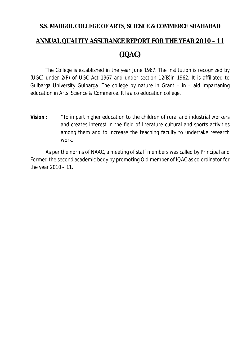## **S.S. MARGOL COLLEGE OF ARTS, SCIENCE & COMMERCE SHAHABAD ANNUAL QUALITY ASSURANCE REPORT FOR THE YEAR 2010 – 11 (IQAC)**

The College is established in the year June 1967. The institution is recognized by (UGC) under 2(F) of UGC Act 1967 and under section 12(B)in 1962. It is affiliated to Gulbarga University Gulbarga. The college by nature in Grant – in – aid impartaning education in Arts, Science & Commerce. It Is a co education college.

**Vision :** "To impart higher education to the children of rural and industrial workers and creates interest in the field of literature cultural and sports activities among them and to increase the teaching faculty to undertake research work.

As per the norms of NAAC, a meeting of staff members was called by Principal and Formed the second academic body by promoting Old member of IQAC as co ordinator for the year 2010 – 11.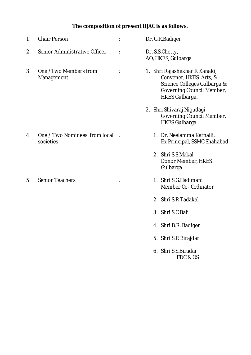## **The composition of present IQAC is as follows**.

| $\mathbf{1}$ . | <b>Chair Person</b>                         | $\ddot{\cdot}$ | Dr. G.R. Badiger                                                                                                                             |
|----------------|---------------------------------------------|----------------|----------------------------------------------------------------------------------------------------------------------------------------------|
| 2.             | Senior Administrative Officer               | $\ddot{\cdot}$ | Dr. S.S.Chetty,<br>AO, HKES, Gulbarga                                                                                                        |
| 3.             | One /Two Members from<br>Management         | $\ddot{\cdot}$ | 1. Shri Rajashekhar R Kanaki,<br>Convener, HKES Arts, &<br>Science Colleges Gulbarga &<br>Governing Council Member,<br><b>HKES Gulbarga.</b> |
|                |                                             |                | 2. Shri Shivaraj Nigudagi<br>Governing Council Member,<br><b>HKES Gulbarga</b>                                                               |
| 4.             | One / Two Nominees from local:<br>societies |                | 1. Dr. Neelamma Katnalli,<br>Ex Principal, SSMC Shahabad                                                                                     |
|                |                                             |                | 2. Shri S.S.Makal<br>Donor Member, HKES<br>Gulbarga                                                                                          |
| 5.             | <b>Senior Teachers</b>                      |                | 1. Shri S.G.Hadimani<br>Member Co- Ordinator                                                                                                 |
|                |                                             |                | 2. Shri S.R Tadakal                                                                                                                          |
|                |                                             |                | 3. Shri S.C Bali                                                                                                                             |
|                |                                             |                | 4. Shri B.R. Badiger                                                                                                                         |
|                |                                             |                | 5. Shri S.R Birajdar                                                                                                                         |
|                |                                             |                | 6. Shri S.S. Biradar                                                                                                                         |

FDC & OS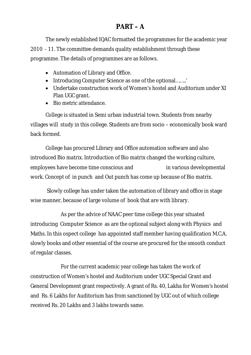## **PART – A**

The newly established IQAC formatted the programmes for the academic year 2010 - 11. The committee demands quality establishment through these programme. The details of programmes are as follows.

- Automation of Library and Office.
- Introducing Computer Science as one of the optional........'
- Undertake construction work of Women's hostel and Auditorium under XI Plan UGC grant.
- Bio metric attendance

College is situated in Semi urban industrial town. Students from nearby villages will study in this college. Students are from socio – economically book ward back formed.

College has procured Library and Office automation software and also introduced Bio matrix. Introduction of Bio matrix changed the working culture, employees have become time conscious and in various developmental work. Concept of in punch and Out punch has come up because of Bio matrix.

Slowly college has under taken the automation of library and office in stage wise manner, because of large volume of book that are with library.

As per the advice of NAAC peer time college this year situated introducing Computer Science as are the optional subject along with Physics and Maths. In this ospect college has appointed staff member having qualification M.C.A. slowly books and other essential of the course are procured for the smooth conduct of regular classes.

For the current academic year college has taken the work of construction of Women's hostel and Auditorium under UGC Special Grant and General Development grant respectively. A grant of Rs. 40, Lakha for Women's hostel and Rs. 6 Lakhs for Auditorium has from sanctioned by UGC out of which college received Rs. 20 Lakhs and 3 lakhs towards same.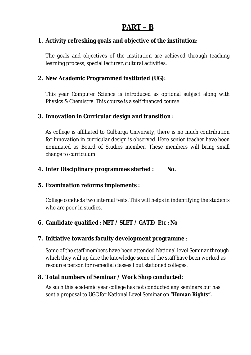## **PART – B**

#### **1. Activity refreshing goals and objective of the institution:**

The goals and objectives of the institution are achieved through teaching learning process, special lecturer, cultural activities.

#### **2. New Academic Programmed instituted (UG):**

This year Computer Science is introduced as optional subject along with Physics & Chemistry. This course is a self financed course.

#### **3. Innovation in Curricular design and transition :**

As college is affiliated to Gulbarga University, there is no much contribution for innovation in curricular design is observed. Here senior teacher have been nominated as Board of Studies member. These members will bring small change to curriculum.

#### **4. Inter Disciplinary programmes started : No.**

#### **5. Examination reforms implements :**

College conducts two internal tests. This will helps in indentifying the students who are poor in studies.

#### **6. Candidate qualified : NET / SLET / GATE/ Etc : No**

#### **7. Initiative towards faculty development programme** :

Some of the staff members have been attended National level Seminar through which they will up date the knowledge some of the staff have been worked as resource person for remedial classes I out stationed colleges.

#### **8. Total numbers of Seminar / Work Shop conducted:**

As such this academic year college has not conducted any seminars but has sent a proposal to UGC for National Level Seminar on **"Human Rights".**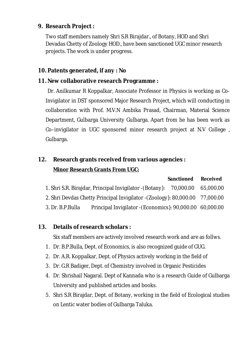#### **9. Research Project :**

Two staff members namely Shri S.R Birajdar., of Botany, HOD and Shri Devadas Chetty of Zoology HOD., have been sanctioned UGC minor research projects. The work is under progress.

#### **10. Patents generated, if any : No**

#### **11. New collaborative research Programme :**

Dr. Anilkumar R Koppalkar, Associate Professor in Physics is working as Co-Invigilator in DST sponsored Major Research Project, which will conducting in collaboration with Prof. M.V.N Ambika Prasad, Chairman, Material Science Department, Gulbarga University Gulbarga. Apart from he has been work as Co–invigilator in UGC sponsored minor research project at N.V College , Gulbarga.

## **12. Research grants received from various agencies : Minor Research Grants From UGC:**

|                  |                                                                              | <b>Sanctioned</b> | <b>Received</b> |
|------------------|------------------------------------------------------------------------------|-------------------|-----------------|
|                  | 1. Shri S.R. Birajdar, Principal Invigilator - (Botany): 70,000.00 65,000.00 |                   |                 |
|                  | 2. Shri Devdas Chetty Principal Invigilator - (Zoology): 80,000.00 77,000.00 |                   |                 |
| 3. Dr. B.P.Bulla | Principal Invigilator - (Economics): 90,000.00 60,000.00                     |                   |                 |

#### **13. Details of research scholars :**

Six staff members are actively involved research work and are as follws.

- 1. Dr. B.P.Bulla, Dept. of Economics, is also recognized guide of GUG.
- 2. Dr. A.R. Koppalkar, Dept. of Physics actively working in the field of
- 3. Dr. G.R Badiger, Dept. of Chemistry involved in Organic Pesticides
- 4. Dr. Shrishail Nagaral. Dept of Kannada who is a research Guide of Gulbarga University and published articles and books.
- 5. Shri S.R Birajdar, Dept. of Botany, working in the field of Ecological studies on Lentic water bodies of Gulbarga Taluka.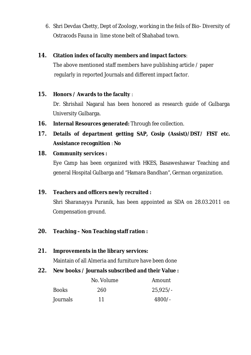6. Shri Devdas Chetty, Dept of Zoology, working in the feils of Bio- Diversity of Ostracods Fauna in lime stone belt of Shahabad town.

#### **14. Citation index of faculty members and impact factors**:

The above mentioned staff members have publishing article / paper regularly in reported Journals and different impact factor.

#### **15. Honors / Awards to the faculty** :

Dr. Shrishail Nagaral has been honored as research guide of Gulbarga University Gulbarga.

- **16. Internal Resources generated:** Through fee collection.
- **17. Details of department getting SAP, Cosip (Assist)/DST/ FIST etc. Assistance recognition** : **No**

#### **18. Community services :**

Eye Camp has been organized with HKES, Basaweshawar Teaching and general Hospital Gulbarga and "Hamara Bandhan", German organization.

#### **19. Teachers and officers newly recruited :**

Shri Sharanayya Puranik, has been appointed as SDA on 28.03.2011 on Compensation ground.

#### **20. Teaching – Non Teaching staff ration :**

**21. Improvements in the library services:**

Maintain of all Almeria and furniture have been done

**22. New books / Journals subscribed and their Value :**

|              | No. Volume | Amount     |  |
|--------------|------------|------------|--|
| <b>Books</b> | 260        | $25.925/-$ |  |
| Journals     | 11         | $4800/-$   |  |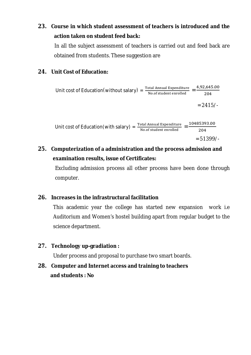### **23. Course in which student assessment of teachers is introduced and the action taken on student feed back:**

In all the subject assessment of teachers is carried out and feed back are obtained from students. These suggestion are

#### **24. Unit Cost of Education:**

Unit cost of Education(without salary) = 
$$
\frac{\text{Total Annual Expenditur}}{\text{No. of student enrolled}} = \frac{4,92,645.00}{204}
$$

$$
= 2415/4
$$
Unit cost of Education(with salary) = 
$$
\frac{\text{Total Annual Expenditur}}{\text{No. of student enrolled}} = \frac{10485393.00}{204}
$$

$$
= 51399/4
$$

## **25. Computerization of a administration and the process admission and examination results, issue of Certificates:**

Excluding admission process all other process have been done through computer.

#### **26. Increases in the infrastructural facilitation**

This academic year the college has started new expansion work i.e Auditorium and Women's hostel building apart from regular budget to the science department.

#### **27. Technology up-gradiation :**

Under process and proposal to purchase two smart boards.

**28. Computer and Internet access and training to teachers and students : No**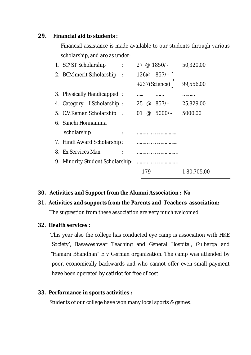#### **29. Financial aid to students :**

Financial assistance is made available to our students through various scholarship, and are as under:

| 1. SC/ST Scholarship                             | $27 \circ 1850$ /-                    | 50,320.00   |  |
|--------------------------------------------------|---------------------------------------|-------------|--|
| 2. BCM merit Scholarship<br>$\ddot{\phantom{a}}$ | $126@857/-$                           |             |  |
|                                                  | +237(Science)                         | 99,556.00   |  |
| 3. Physically Handicapped:                       | .<br>.                                | .           |  |
| 4. Category – I Scholarship:                     | $857/-$<br>25<br>$^{\textregistered}$ | 25,829.00   |  |
| 5. C.V. Raman Scholarship:                       | $5000/-$<br>01<br>$\omega$            | 5000.00     |  |
| 6. Sanchi Honnamma                               |                                       |             |  |
| scholarship                                      |                                       |             |  |
| 7. Hindi Award Scholarship:                      |                                       |             |  |
| 8. Ex Services Man                               |                                       |             |  |
| 9. Minority Student Scholarship:                 |                                       |             |  |
|                                                  | 79                                    | 1,80,705.00 |  |

#### **30. Activities and Support from the Alumni Association : No**

## **31. Activities and supports from the Parents and Teachers association:**

The suggestion from these association are very much welcomed

#### **32. Health services :**

This year also the college has conducted eye camp is association with HKE Society', Basaweshwar Teaching and General Hospital, Gulbarga and "Hamara Bhandhan" E v German organization. The camp was attended by poor, economically backwards and who cannot offer even small payment have been operated by catiriot for free of cost.

#### **33. Performance in sports activities :**

Students of our college have won many local sports & games.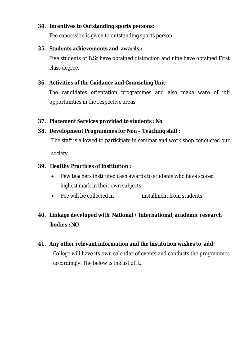#### **34. Incentives to Outstanding sports persons:**

Fee concession is given to outstanding sports person.

#### **35. Students achievements and awards :**

Five students of B.Sc have obtained distinction and nine have obtained First class degree.

#### **36. Activities of the Guidance and Counseling Unit:**

The candidates orientation programmes and also make ware of job opportunities in the respective areas.

#### **37. Placement Services provided to students : No**

#### **38. Development Programmes for Non – Teaching staff :**

The staff is allowed to participate in seminar and work shop conducted our society.

#### **39. Healthy Practices of Institution :**

- Few teachers instituted cash awards to students who have scored highest mark in their own subjects.
- Fee will be collected in installment from students.

### **40. Linkage developed with National / International, academic research bodies : NO**

**41. Any other relevant information and the institution wishes to add:** College will have its own calendar of events and conducts the programmes accordingly. The below is the list of it.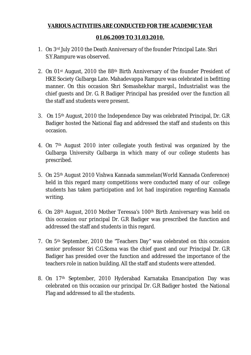#### **VARIOUS ACTIVITIES ARE CONDUCTED FOR THE ACADEMIC YEAR**

#### **01.06.2009 TO 31.03.2010.**

- 1. On 3rd July 2010 the Death Anniversary of the founder Principal Late. Shri S.Y.Rampure was observed.
- 2. On 01st August, 2010 the 88th Birth Anniversary of the founder President of HKE Society Gulbarga Late. Mahadevappa Rampure was celebrated in befitting manner. On this occasion Shri Somashekhar margol., Industrialist was the chief guests and Dr. G. R Badiger Principal has presided over the function all the staff and students were present.
- 3. On 15th August, 2010 the Independence Day was celebrated Principal, Dr. G.R Badiger hosted the National flag and addressed the staff and students on this occasion.
- 4. On 7th August 2010 inter collegiate youth festival was organized by the Gulbarga University Gulbarga in which many of our college students has prescribed.
- 5. On 25th August 2010 Vishwa Kannada sammelan(World Kannada Conference) held in this regard many competitions were conducted many of our college students has taken participation and lot had inspiration regarding Kannada writing.
- 6. On 28th August, 2010 Mother Teressa's 100th Birth Anniversary was held on this occasion our principal Dr. G.R Badiger was prescribed the function and addressed the staff and students in this regard.
- 7. On 5th September, 2010 the "Teachers Day" was celebrated on this occasion senior professor Sri C.G.Soma was the chief guest and our Principal Dr. G.R Badiger has presided over the function and addressed the importance of the teachers role in nation building. All the staff and students were attended.
- 8. On 17th September, 2010 Hyderabad Karnataka Emancipation Day was celebrated on this occasion our principal Dr. G.R Badiger hosted the National Flag and addressed to all the students.